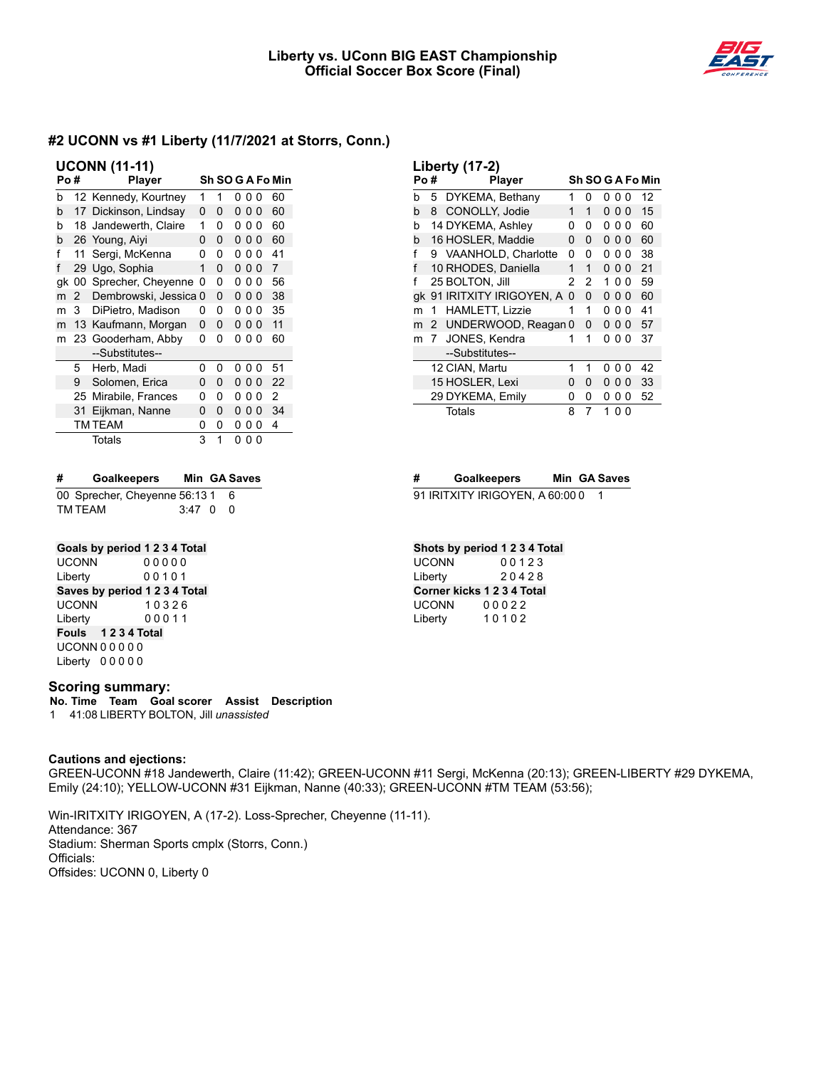

| <b>UCONN (11-11)</b> |              |                       |   |   |   |                |          |                  |
|----------------------|--------------|-----------------------|---|---|---|----------------|----------|------------------|
| Po#                  |              | <b>Player</b>         |   |   |   |                |          | Sh SO G A Fo Min |
| b                    |              | 12 Kennedy, Kourtney  | 1 | 1 | 0 | 00             |          | 60               |
| b                    |              | 17 Dickinson, Lindsay | 0 | 0 | 0 | 0 <sub>0</sub> |          | 60               |
| b                    |              | 18 Jandewerth, Claire | 1 | 0 | 0 | 0              | 0        | 60               |
| b                    |              | 26 Young, Aiyi        | ŋ | 0 | 0 | 0 <sub>0</sub> |          | 60               |
| f                    | 11           | Sergi, McKenna        | ŋ | 0 | ŋ | 0              | $\Omega$ | 41               |
| f                    | 29           | Ugo, Sophia           | 1 | 0 | 0 | 0 <sub>0</sub> |          | 7                |
| gk                   | 00           | Sprecher, Cheyenne    | 0 | 0 | 0 | 00             |          | 56               |
| m                    | $\mathbf{2}$ | Dembrowski, Jessica 0 |   | 0 | 0 | 0 <sub>0</sub> |          | 38               |
| m                    | 3            | DiPietro, Madison     | 0 | 0 | 0 | 0              | 0        | 35               |
| m                    | 13           | Kaufmann, Morgan      | 0 | 0 | 0 | 0 <sub>0</sub> |          | 11               |
| m                    |              | 23 Gooderham, Abby    | 0 | 0 | 0 | 0 <sub>0</sub> |          | 60               |
|                      |              | --Substitutes--       |   |   |   |                |          |                  |
|                      | 5            | Herb, Madi            | 0 | 0 | ŋ | 0              | 0        | 51               |
|                      | 9            | Solomen, Erica        | ŋ | 0 | 0 | 00             |          | 22               |
|                      | 25           | Mirabile, Frances     | 0 | 0 | 0 | 00             |          | 2                |
|                      | 31           | Eijkman, Nanne        | 0 | 0 | 0 | 0 <sub>0</sub> |          | 34               |
|                      |              | TM TEAM               | 0 | 0 | 0 | 0              | 0        | 4                |
|                      |              | Totals                | 3 | 1 | 0 | 00             |          |                  |

| # | <b>Goalkeepers</b>            |                | Min GA Saves |
|---|-------------------------------|----------------|--------------|
|   | 00 Sprecher, Cheyenne 56:13 1 |                | - 6          |
|   | TM TEAM                       | $3:47 \quad 0$ | - 0          |

## **Goals by period 1 2 3 4 Total**

UCONN 0 0 0 0 0 Liberty 0 0 1 0 1 **Saves by period 1 2 3 4 Total** UCONN 1 0 3 2 6 Liberty 0 0 0 1 1 **Fouls 1 2 3 4 Total** UCONN 0 0 0 0 0 Liberty 0 0 0 0 0

### **Scoring summary:**

**No. Time Team Goal scorer Assist Description** 1 41:08 LIBERTY BOLTON, Jill *unassisted*

### **Cautions and ejections:**

GREEN-UCONN #18 Jandewerth, Claire (11:42); GREEN-UCONN #11 Sergi, McKenna (20:13); GREEN-LIBERTY #29 DYKEMA, Emily (24:10); YELLOW-UCONN #31 Eijkman, Nanne (40:33); GREEN-UCONN #TM TEAM (53:56);

Win-IRITXITY IRIGOYEN, A (17-2). Loss-Sprecher, Cheyenne (11-11). Attendance: 367 Stadium: Sherman Sports cmplx (Storrs, Conn.) Officials: Offsides: UCONN 0, Liberty 0

| <b>Liberty (17-2)</b> |                      |                         |   |   |   |                |          |                  |
|-----------------------|----------------------|-------------------------|---|---|---|----------------|----------|------------------|
| Po #                  |                      | Player                  |   |   |   |                |          | Sh SO G A Fo Min |
| b                     | 5                    | DYKEMA, Bethany         | 1 | 0 | 0 | 00             |          | 12               |
| h                     | 8                    | CONOLLY, Jodie          | 1 | 1 |   | 000            |          | 15               |
| b                     |                      | 14 DYKEMA, Ashley       | 0 | 0 | 0 | 0              | $\Omega$ | 60               |
| h                     |                      | 16 HOSLER, Maddie       | 0 | 0 | 0 | 0 <sub>0</sub> |          | 60               |
| f                     | 9                    | VAANHOLD, Charlotte     | 0 | 0 | ŋ | 00             |          | 38               |
| f                     |                      | 10 RHODES, Daniella     | 1 | 1 |   | 000            |          | 21               |
| f                     |                      | 25 BOLTON, Jill         | 2 | 2 | 1 | 0 O            |          | 59               |
| qk                    |                      | 91 IRITXITY IRIGOYEN, A | 0 | 0 | 0 | 0 O            |          | 60               |
| m                     | 1                    | <b>HAMLETT, Lizzie</b>  | 1 | 1 | 0 | 00             |          | 41               |
| m                     | $\mathbf{2}^{\circ}$ | UNDERWOOD, Reagan 0     |   | 0 | 0 | 0 O            |          | 57               |
| m                     | 7                    | JONES, Kendra           | 1 | 1 |   | 0 0 0          |          | 37               |
|                       |                      | --Substitutes--         |   |   |   |                |          |                  |
|                       |                      | 12 CIAN, Martu          | 1 | 1 | 0 | 0              | $\Omega$ | 42               |
|                       |                      | 15 HOSLER, Lexi         | ŋ | 0 | 0 | 0              | $\Omega$ | 33               |
|                       |                      | 29 DYKEMA, Emily        | 0 | 0 | ი | 0              | 0        | 52               |
|                       |                      | Totals                  | 8 | 7 | 1 | 0              | O        |                  |

### **# Goalkeepers Min GA Saves**

91 IRITXITY IRIGOYEN, A 60:00 0 1

## **Shots by period 1 2 3 4 Total**

UCONN 0 0 1 2 3 Liberty 2 0 4 2 8 **Corner kicks 1 2 3 4 Total** UCONN 0 0 0 2 2 Liberty 1 0 1 0 2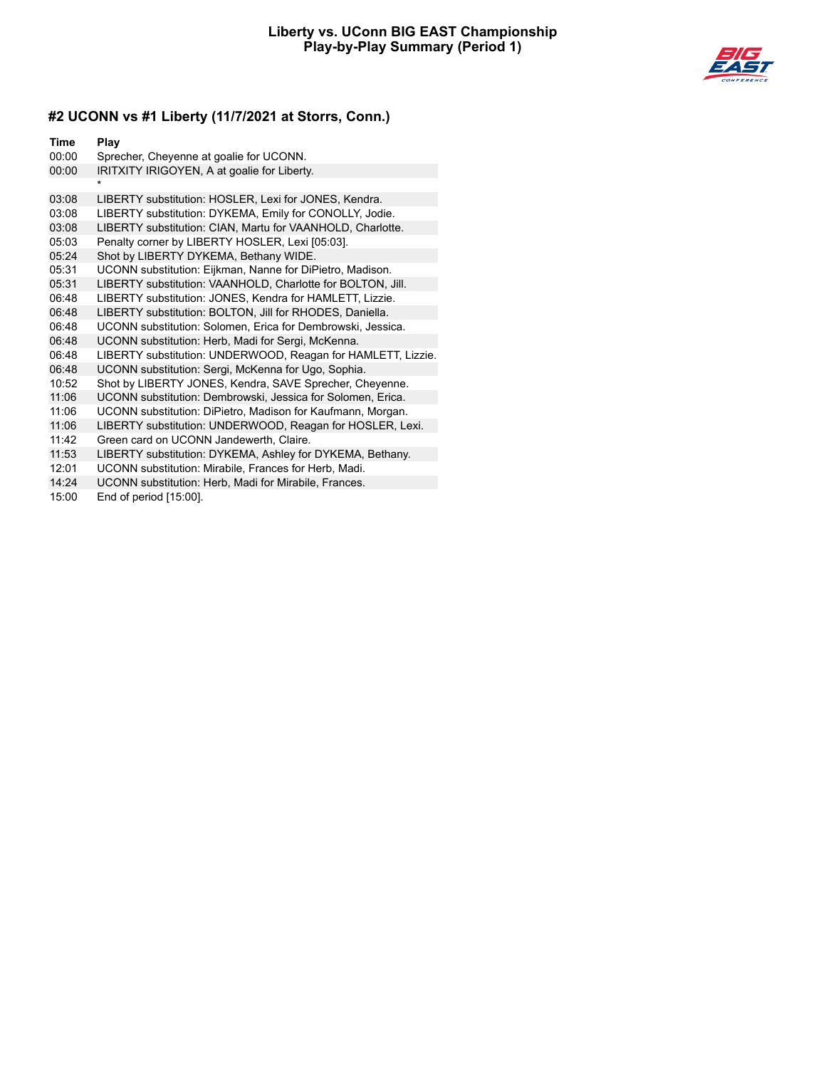

| Time  | Play                                                         |
|-------|--------------------------------------------------------------|
| 00:00 | Sprecher, Cheyenne at goalie for UCONN.                      |
| 00:00 | IRITXITY IRIGOYEN, A at goalie for Liberty.                  |
|       |                                                              |
| 03:08 | LIBERTY substitution: HOSLER, Lexi for JONES, Kendra.        |
| 03:08 | LIBERTY substitution: DYKEMA, Emily for CONOLLY, Jodie.      |
| 03:08 | LIBERTY substitution: CIAN, Martu for VAANHOLD, Charlotte.   |
| 05:03 | Penalty corner by LIBERTY HOSLER, Lexi [05:03].              |
| 05:24 | Shot by LIBERTY DYKEMA, Bethany WIDE.                        |
| 05:31 | UCONN substitution: Eijkman, Nanne for DiPietro, Madison.    |
| 05:31 | LIBERTY substitution: VAANHOLD, Charlotte for BOLTON, Jill.  |
| 06:48 | LIBERTY substitution: JONES, Kendra for HAMLETT, Lizzie.     |
| 06:48 | LIBERTY substitution: BOLTON, Jill for RHODES, Daniella.     |
| 06:48 | UCONN substitution: Solomen, Erica for Dembrowski, Jessica.  |
| 06:48 | UCONN substitution: Herb, Madi for Sergi, McKenna.           |
| 06:48 | LIBERTY substitution: UNDERWOOD, Reagan for HAMLETT, Lizzie. |
| 06:48 | UCONN substitution: Sergi, McKenna for Ugo, Sophia.          |
| 10:52 | Shot by LIBERTY JONES, Kendra, SAVE Sprecher, Cheyenne.      |
| 11:06 | UCONN substitution: Dembrowski, Jessica for Solomen, Erica.  |
| 11:06 | UCONN substitution: DiPietro, Madison for Kaufmann, Morgan.  |
| 11:06 | LIBERTY substitution: UNDERWOOD, Reagan for HOSLER, Lexi.    |
| 11:42 | Green card on UCONN Jandewerth, Claire.                      |
| 11:53 | LIBERTY substitution: DYKEMA, Ashley for DYKEMA, Bethany.    |
| 12:01 | UCONN substitution: Mirabile, Frances for Herb, Madi.        |
| 14:24 | UCONN substitution: Herb, Madi for Mirabile, Frances.        |
| 15:00 | End of period [15:00].                                       |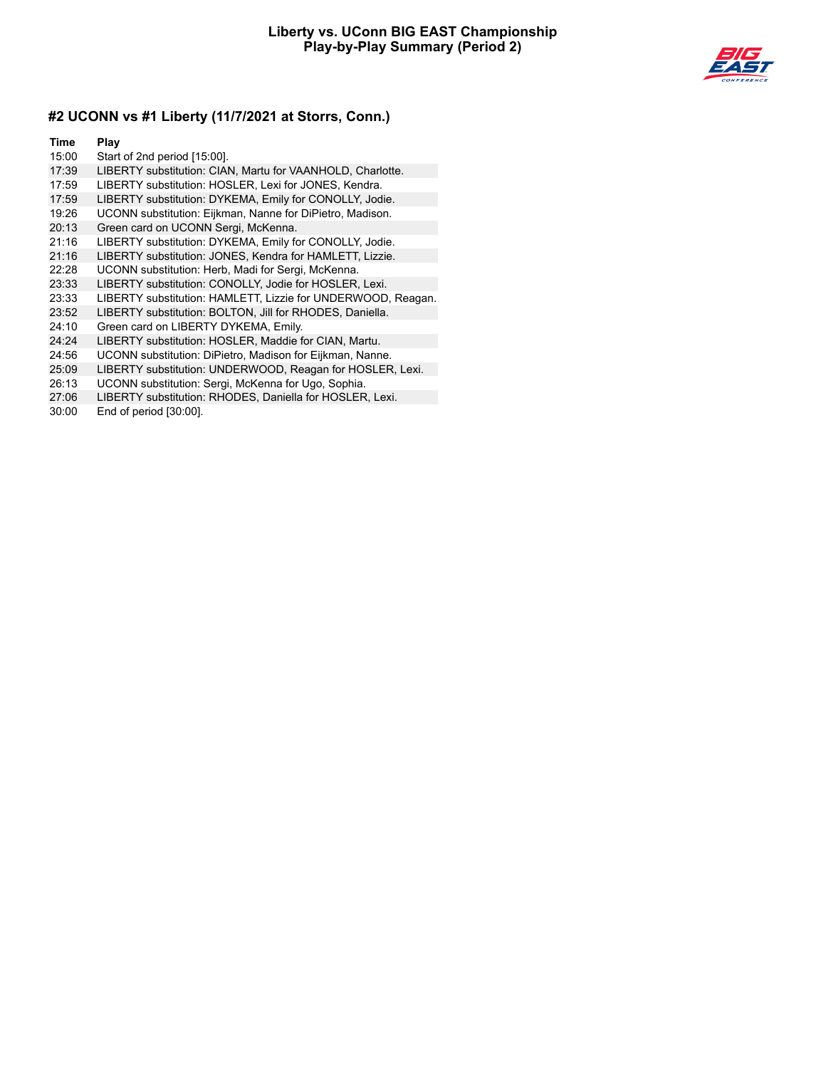

#### **Time Play**

- 15:00 Start of 2nd period [15:00].
- 17:39 LIBERTY substitution: CIAN, Martu for VAANHOLD, Charlotte.
- 17:59 LIBERTY substitution: HOSLER, Lexi for JONES, Kendra.
- 17:59 LIBERTY substitution: DYKEMA, Emily for CONOLLY, Jodie.
- 19:26 UCONN substitution: Eijkman, Nanne for DiPietro, Madison.
- 20:13 Green card on UCONN Sergi, McKenna.
- 21:16 LIBERTY substitution: DYKEMA, Emily for CONOLLY, Jodie.
- 21:16 LIBERTY substitution: JONES, Kendra for HAMLETT, Lizzie.
- 22:28 UCONN substitution: Herb, Madi for Sergi, McKenna.
- 23:33 LIBERTY substitution: CONOLLY, Jodie for HOSLER, Lexi.
- 23:33 LIBERTY substitution: HAMLETT, Lizzie for UNDERWOOD, Reagan.
- 23:52 LIBERTY substitution: BOLTON, Jill for RHODES, Daniella.
- 24:10 Green card on LIBERTY DYKEMA, Emily.
- 24:24 LIBERTY substitution: HOSLER, Maddie for CIAN, Martu.
- 24:56 UCONN substitution: DiPietro, Madison for Eijkman, Nanne.
- 25:09 LIBERTY substitution: UNDERWOOD, Reagan for HOSLER, Lexi.
- 26:13 UCONN substitution: Sergi, McKenna for Ugo, Sophia.
- 27:06 LIBERTY substitution: RHODES, Daniella for HOSLER, Lexi.
- 30:00 End of period [30:00].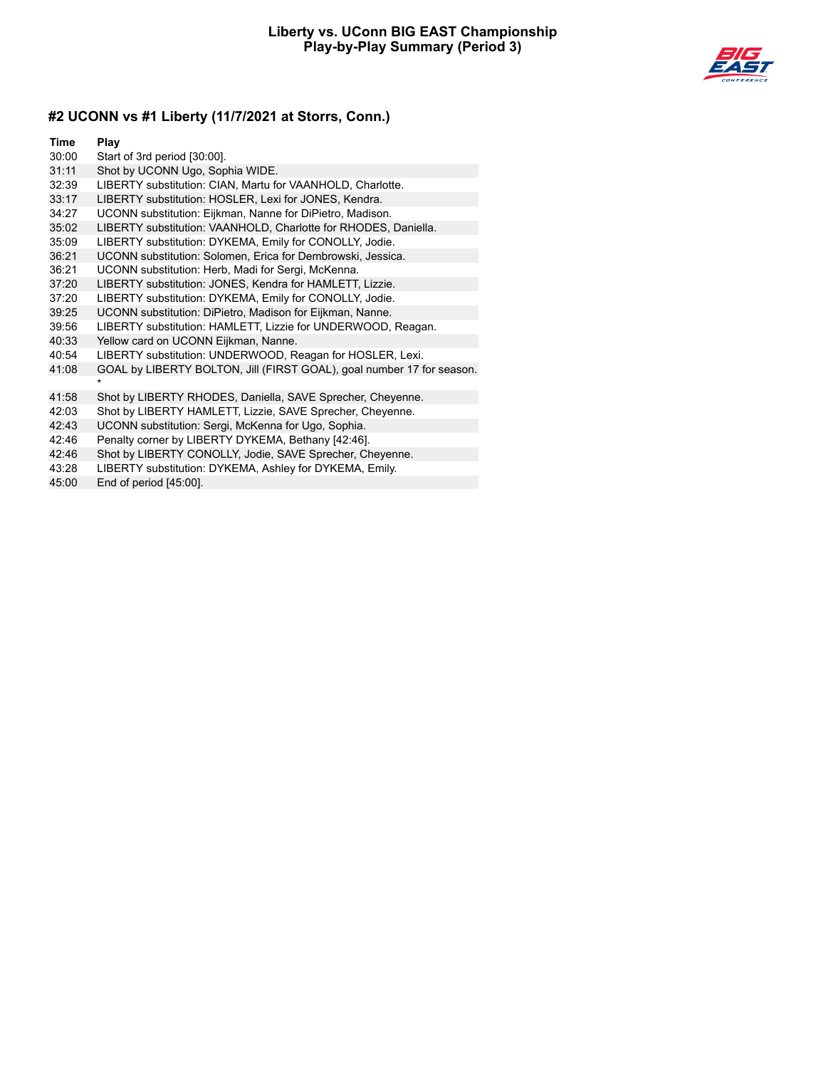

| Time                | Play                                                                  |
|---------------------|-----------------------------------------------------------------------|
| 30:00               | Start of 3rd period [30:00].                                          |
| 31:11               | Shot by UCONN Ugo, Sophia WIDE.                                       |
| 32:39               | LIBERTY substitution: CIAN, Martu for VAANHOLD, Charlotte.            |
| 33:17               | LIBERTY substitution: HOSLER, Lexi for JONES, Kendra.                 |
| 34:27               | UCONN substitution: Eijkman, Nanne for DiPietro, Madison.             |
| 35:02               | LIBERTY substitution: VAANHOLD, Charlotte for RHODES, Daniella.       |
| 35:09               | LIBERTY substitution: DYKEMA, Emily for CONOLLY, Jodie.               |
| 36:21               | UCONN substitution: Solomen, Erica for Dembrowski, Jessica.           |
| 36:21               | UCONN substitution: Herb, Madi for Sergi, McKenna.                    |
| 37:20               | LIBERTY substitution: JONES, Kendra for HAMLETT, Lizzie.              |
| 37:20               | LIBERTY substitution: DYKEMA, Emily for CONOLLY, Jodie.               |
| 39:25               | UCONN substitution: DiPietro, Madison for Eijkman, Nanne.             |
| 39:56               | LIBERTY substitution: HAMLETT, Lizzie for UNDERWOOD, Reagan.          |
| 40:33               | Yellow card on UCONN Eijkman, Nanne.                                  |
| 40:54               | LIBERTY substitution: UNDERWOOD, Reagan for HOSLER, Lexi.             |
| 41:08               | GOAL by LIBERTY BOLTON, Jill (FIRST GOAL), goal number 17 for season. |
|                     |                                                                       |
| 41:58               | Shot by LIBERTY RHODES, Daniella, SAVE Sprecher, Cheyenne.            |
| 42:03               | Shot by LIBERTY HAMLETT, Lizzie, SAVE Sprecher, Cheyenne.             |
| 42:43               | UCONN substitution: Sergi, McKenna for Ugo, Sophia.                   |
| 42:46               | Penalty corner by LIBERTY DYKEMA, Bethany [42:46].                    |
| $A \Omega \cdot AB$ | Shot by LIBERTY CONOLLY Jodie, SAVE Spresber, Chevenne                |

42:46 Shot by LIBERTY CONOLLY, Jodie, SAVE Sprecher, Cheyenne.<br>43:28 LIBERTY substitution: DYKEMA, Ashley for DYKEMA, Emily.

LIBERTY substitution: DYKEMA, Ashley for DYKEMA, Emily.

45:00 End of period [45:00].